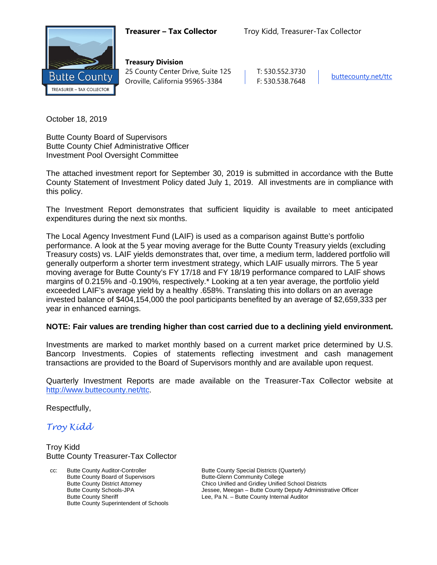

**Treasury Division** 25 County Center Drive, Suite 125 | T: 530.552.3730 Oroville, California 95965-3384 F: 530.538.7648 [buttecounty.net/t](http://www.buttecounty.net/administration)tc

October 18, 2019

Butte County Board of Supervisors Butte County Chief Administrative Officer Investment Pool Oversight Committee

The attached investment report for September 30, 2019 is submitted in accordance with the Butte County Statement of Investment Policy dated July 1, 2019. All investments are in compliance with this policy.

The Investment Report demonstrates that sufficient liquidity is available to meet anticipated expenditures during the next six months.

The Local Agency Investment Fund (LAIF) is used as a comparison against Butte's portfolio performance. A look at the 5 year moving average for the Butte County Treasury yields (excluding Treasury costs) vs. LAIF yields demonstrates that, over time, a medium term, laddered portfolio will generally outperform a shorter term investment strategy, which LAIF usually mirrors. The 5 year moving average for Butte County's FY 17/18 and FY 18/19 performance compared to LAIF shows margins of 0.215% and -0.190%, respectively.\* Looking at a ten year average, the portfolio yield exceeded LAIF's average yield by a healthy .658%. Translating this into dollars on an average invested balance of \$404,154,000 the pool participants benefited by an average of \$2,659,333 per year in enhanced earnings.

#### **NOTE: Fair values are trending higher than cost carried due to a declining yield environment.**

Investments are marked to market monthly based on a current market price determined by U.S. Bancorp Investments. Copies of statements reflecting investment and cash management transactions are provided to the Board of Supervisors monthly and are available upon request.

Quarterly Investment Reports are made available on the Treasurer-Tax Collector website at <http://www.buttecounty.net/ttc>.

Respectfully,

*Troy Kidd*

Troy Kidd Butte County Treasurer-Tax Collector

cc: Butte County Auditor-Controller Butte County Special Districts (Quarterly)<br>Butte County Board of Supervisors Butte-Glenn Community College Butte County Board of Supervisors Butte County Superintendent of Schools

Butte County District Attorney **Chico Unified and Gridley Unified School Districts**<br>Butte County Schools-JPA **Chicage Schools** Jessee, Meegan – Butte County Deputy Administr Butte County Schools-JPA<br>
Butte County Sheriff **Figure 18 County Administrative Officer**<br>
Lee, Pa N. – Butte County Internal Auditor Lee, Pa N. – Butte County Internal Auditor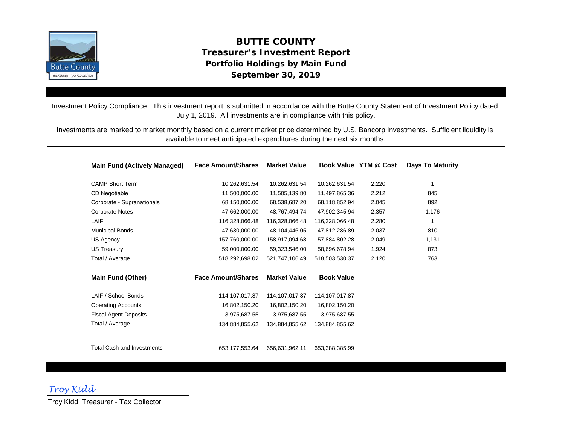

# **September 30, 2019 BUTTE COUNTY Treasurer's Investment Report Portfolio Holdings by Main Fund**

Investment Policy Compliance: This investment report is submitted in accordance with the Butte County Statement of Investment Policy dated July 1, 2019. All investments are in compliance with this policy.

Investments are marked to market monthly based on a current market price determined by U.S. Bancorp Investments. Sufficient liquidity is available to meet anticipated expenditures during the next six months.

| <b>Main Fund (Actively Managed)</b> | <b>Face Amount/Shares</b> | <b>Market Value</b> |                   | Book Value YTM @ Cost | <b>Days To Maturity</b> |
|-------------------------------------|---------------------------|---------------------|-------------------|-----------------------|-------------------------|
| <b>CAMP Short Term</b>              | 10,262,631.54             | 10,262,631.54       | 10,262,631.54     | 2.220                 | 1                       |
| CD Negotiable                       | 11,500,000.00             | 11,505,139.80       | 11,497,865.36     | 2.212                 | 845                     |
| Corporate - Supranationals          | 68,150,000.00             | 68,538,687.20       | 68,118,852.94     | 2.045                 | 892                     |
| <b>Corporate Notes</b>              | 47,662,000.00             | 48,767,494.74       | 47,902,345.94     | 2.357                 | 1,176                   |
| LAIF                                | 116,328,066.48            | 116,328,066.48      | 116,328,066.48    | 2.280                 | 1                       |
| <b>Municipal Bonds</b>              | 47,630,000.00             | 48,104,446.05       | 47,812,286.89     | 2.037                 | 810                     |
| US Agency                           | 157,760,000.00            | 158,917,094.68      | 157,884,802.28    | 2.049                 | 1,131                   |
| <b>US Treasury</b>                  | 59,000,000.00             | 59,323,546.00       | 58,696,678.94     | 1.924                 | 873                     |
| Total / Average                     | 518,292,698.02            | 521,747,106.49      | 518,503,530.37    | 2.120                 | 763                     |
| Main Fund (Other)                   | <b>Face Amount/Shares</b> | <b>Market Value</b> | <b>Book Value</b> |                       |                         |
| LAIF / School Bonds                 | 114,107,017.87            | 114, 107, 017.87    | 114, 107, 017.87  |                       |                         |
| <b>Operating Accounts</b>           | 16,802,150.20             | 16,802,150.20       | 16,802,150.20     |                       |                         |
| <b>Fiscal Agent Deposits</b>        | 3,975,687.55              | 3,975,687.55        | 3,975,687.55      |                       |                         |
| Total / Average                     | 134,884,855.62            | 134.884.855.62      | 134,884,855.62    |                       |                         |
| <b>Total Cash and Investments</b>   | 653, 177, 553. 64         | 656,631,962.11      | 653,388,385.99    |                       |                         |

*Troy Kidd*

Troy Kidd, Treasurer - Tax Collector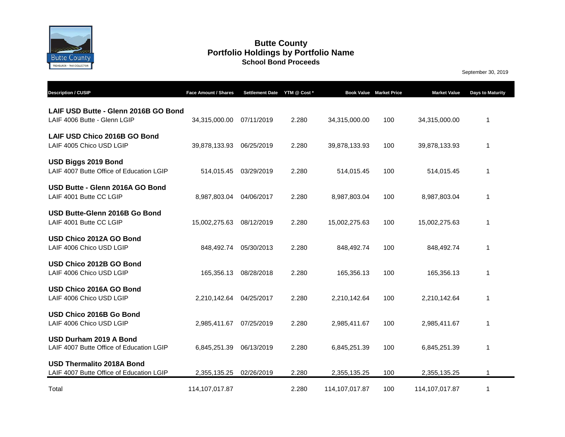

#### **Butte County School Bond Proceeds Portfolio Holdings by Portfolio Name**

September 30, 2019

| <b>Description / CUSIP</b>                                                   | Face Amount / Shares | Settlement Date YTM @ Cost * |       | <b>Book Value Market Price</b> |     | <b>Market Value</b> | Days to Maturity |
|------------------------------------------------------------------------------|----------------------|------------------------------|-------|--------------------------------|-----|---------------------|------------------|
| LAIF USD Butte - Glenn 2016B GO Bond<br>LAIF 4006 Butte - Glenn LGIP         | 34,315,000.00        | 07/11/2019                   | 2.280 | 34,315,000.00                  | 100 | 34,315,000.00       | 1                |
| LAIF USD Chico 2016B GO Bond<br>LAIF 4005 Chico USD LGIP                     | 39,878,133.93        | 06/25/2019                   | 2.280 | 39,878,133.93                  | 100 | 39,878,133.93       | 1                |
| USD Biggs 2019 Bond<br>LAIF 4007 Butte Office of Education LGIP              | 514,015.45           | 03/29/2019                   | 2.280 | 514,015.45                     | 100 | 514,015.45          | 1                |
| USD Butte - Glenn 2016A GO Bond<br>LAIF 4001 Butte CC LGIP                   | 8,987,803.04         | 04/06/2017                   | 2.280 | 8,987,803.04                   | 100 | 8,987,803.04        | 1                |
| USD Butte-Glenn 2016B Go Bond<br>LAIF 4001 Butte CC LGIP                     | 15,002,275.63        | 08/12/2019                   | 2.280 | 15,002,275.63                  | 100 | 15,002,275.63       | 1                |
| USD Chico 2012A GO Bond<br>LAIF 4006 Chico USD LGIP                          | 848,492.74           | 05/30/2013                   | 2.280 | 848,492.74                     | 100 | 848,492.74          | 1                |
| USD Chico 2012B GO Bond<br>LAIF 4006 Chico USD LGIP                          | 165,356.13           | 08/28/2018                   | 2.280 | 165,356.13                     | 100 | 165,356.13          | 1                |
| USD Chico 2016A GO Bond<br>LAIF 4006 Chico USD LGIP                          | 2,210,142.64         | 04/25/2017                   | 2.280 | 2,210,142.64                   | 100 | 2,210,142.64        | 1                |
| USD Chico 2016B Go Bond<br>LAIF 4006 Chico USD LGIP                          | 2,985,411.67         | 07/25/2019                   | 2.280 | 2,985,411.67                   | 100 | 2,985,411.67        | 1                |
| USD Durham 2019 A Bond<br>LAIF 4007 Butte Office of Education LGIP           | 6,845,251.39         | 06/13/2019                   | 2.280 | 6,845,251.39                   | 100 | 6,845,251.39        | 1                |
| <b>USD Thermalito 2018A Bond</b><br>LAIF 4007 Butte Office of Education LGIP | 2,355,135.25         | 02/26/2019                   | 2.280 | 2,355,135.25                   | 100 | 2,355,135.25        | 1                |
| Total                                                                        | 114, 107, 017.87     |                              | 2.280 | 114,107,017.87                 | 100 | 114,107,017.87      | 1                |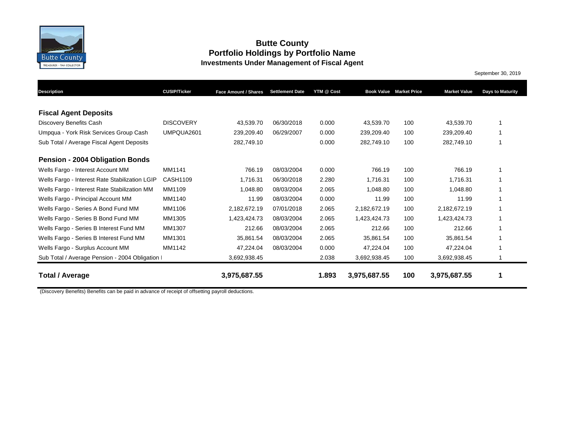

### **Butte County Portfolio Holdings by Portfolio Name Investments Under Management of Fiscal Agent**

September 30, 2019

| <b>Description</b>                              | <b>CUSIP/Ticker</b> | Face Amount / Shares | <b>Settlement Date</b> | YTM @ Cost |              | <b>Book Value Market Price</b> | <b>Market Value</b> | <b>Days to Maturity</b> |
|-------------------------------------------------|---------------------|----------------------|------------------------|------------|--------------|--------------------------------|---------------------|-------------------------|
|                                                 |                     |                      |                        |            |              |                                |                     |                         |
| <b>Fiscal Agent Deposits</b>                    |                     |                      |                        |            |              |                                |                     |                         |
| Discovery Benefits Cash                         | <b>DISCOVERY</b>    | 43,539.70            | 06/30/2018             | 0.000      | 43,539.70    | 100                            | 43,539.70           | 1                       |
| Umpqua - York Risk Services Group Cash          | UMPQUA2601          | 239,209.40           | 06/29/2007             | 0.000      | 239,209.40   | 100                            | 239,209.40          | 1                       |
| Sub Total / Average Fiscal Agent Deposits       |                     | 282,749.10           |                        | 0.000      | 282,749.10   | 100                            | 282,749.10          | 1                       |
| <b>Pension - 2004 Obligation Bonds</b>          |                     |                      |                        |            |              |                                |                     |                         |
| Wells Fargo - Interest Account MM               | MM1141              | 766.19               | 08/03/2004             | 0.000      | 766.19       | 100                            | 766.19              | 1                       |
| Wells Fargo - Interest Rate Stabilization LGIP  | CASH1109            | 1,716.31             | 06/30/2018             | 2.280      | 1,716.31     | 100                            | 1,716.31            | 1                       |
| Wells Fargo - Interest Rate Stabilization MM    | MM1109              | 1,048.80             | 08/03/2004             | 2.065      | 1,048.80     | 100                            | 1,048.80            | 1                       |
| Wells Fargo - Principal Account MM              | MM1140              | 11.99                | 08/03/2004             | 0.000      | 11.99        | 100                            | 11.99               | 1                       |
| Wells Fargo - Series A Bond Fund MM             | MM1106              | 2,182,672.19         | 07/01/2018             | 2.065      | 2,182,672.19 | 100                            | 2,182,672.19        |                         |
| Wells Fargo - Series B Bond Fund MM             | MM1305              | 1,423,424.73         | 08/03/2004             | 2.065      | 1,423,424.73 | 100                            | 1,423,424.73        |                         |
| Wells Fargo - Series B Interest Fund MM         | MM1307              | 212.66               | 08/03/2004             | 2.065      | 212.66       | 100                            | 212.66              |                         |
| Wells Fargo - Series B Interest Fund MM         | MM1301              | 35,861.54            | 08/03/2004             | 2.065      | 35,861.54    | 100                            | 35,861.54           |                         |
| Wells Fargo - Surplus Account MM                | MM1142              | 47,224.04            | 08/03/2004             | 0.000      | 47,224.04    | 100                            | 47,224.04           |                         |
| Sub Total / Average Pension - 2004 Obligation I |                     | 3,692,938.45         |                        | 2.038      | 3,692,938.45 | 100                            | 3,692,938.45        | 1                       |
| Total / Average                                 |                     | 3,975,687.55         |                        | 1.893      | 3,975,687.55 | 100                            | 3,975,687.55        | 1                       |

(Discovery Benefits) Benefits can be paid in advance of receipt of offsetting payroll deductions.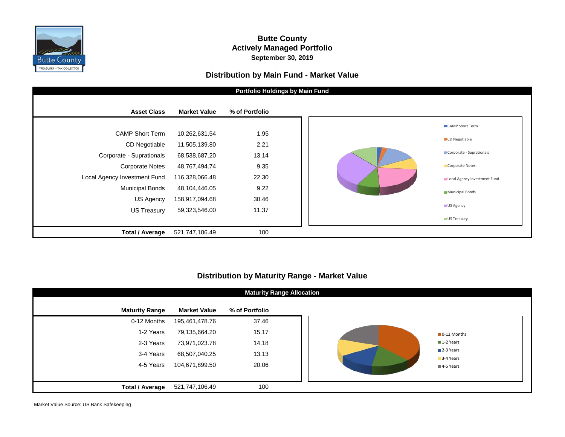

#### **Butte County Actively Managed Portfolio September 30, 2019**

#### **Distribution by Main Fund - Market Value**



#### **Distribution by Maturity Range - Market Value**

|                        |                     | <b>Maturity Range Allocation</b> |
|------------------------|---------------------|----------------------------------|
| <b>Maturity Range</b>  | <b>Market Value</b> | % of Portfolio                   |
| 0-12 Months            | 195,461,478.76      | 37.46                            |
| 1-2 Years              | 79,135,664.20       | 15.17                            |
| 2-3 Years              | 73,971,023.78       | 14.18                            |
| 3-4 Years              | 68,507,040.25       | 13.13                            |
| 4-5 Years              | 104,671,899.50      | 20.06                            |
|                        |                     |                                  |
| <b>Total / Average</b> | 521,747,106.49      | 100                              |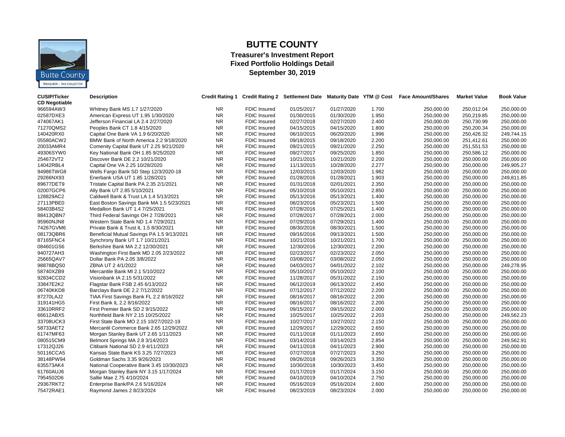

## **BUTTE COUNTY**

#### **Treasurer's Investment Report Fixed Portfolio Holdings Detail September 30, 2019**

| <b>CUSIP/Ticker</b><br><b>CD Negotiable</b> | <b>Description</b>                         | <b>Credit Rating 1</b> |                     | <b>Credit Rating 2 Settlement Date</b> |            |       | Maturity Date YTM @ Cost Face Amount/Shares | <b>Market Value</b> | <b>Book Value</b> |
|---------------------------------------------|--------------------------------------------|------------------------|---------------------|----------------------------------------|------------|-------|---------------------------------------------|---------------------|-------------------|
| 966594AW3                                   | Whitney Bank MS 1.7 1/27/2020              | NR.                    | <b>FDIC Insured</b> | 01/25/2017                             | 01/27/2020 | 1.700 | 250,000.00                                  | 250,012.04          | 250,000.00        |
| 02587DXE3                                   | American Express UT 1.95 1/30/2020         | <b>NR</b>              | FDIC Insured        | 01/30/2015                             | 01/30/2020 | 1.950 | 250,000.00                                  | 250,219.85          | 250,000.00        |
| 474067AK1                                   | Jefferson Financial LA 2.4 2/27/2020       | NR.                    | <b>FDIC Insured</b> | 02/27/2018                             | 02/27/2020 | 2.400 | 250,000.00                                  | 250,730.99          | 250,000.00        |
| 71270QMS2                                   | Peoples Bank CT 1.8 4/15/2020              | <b>NR</b>              | FDIC Insured        | 04/15/2015                             | 04/15/2020 | 1.800 | 250,000.00                                  | 250,200.34          | 250,000.00        |
| 140420RX0                                   | Capital One Bank VA 1.9 6/20/2020          | <b>NR</b>              | <b>FDIC Insured</b> | 06/10/2015                             | 06/20/2020 | 1.996 | 250,000.00                                  | 250,426.32          | 249.744.15        |
| 05580ACW2                                   | BMW Bank of North America 2.2 9/18/2020    | <b>NR</b>              | <b>FDIC Insured</b> | 09/18/2015                             | 09/18/2020 | 2.200 | 250,000.00                                  | 251,412.61          | 250,000.00        |
| 20033AMR4                                   | Comenity Capital Bank UT 2.25 9/21/2020    | <b>NR</b>              | <b>FDIC Insured</b> | 09/21/2015                             | 09/21/2020 | 2.250 | 250,000.00                                  | 251,551.53          | 250,000.00        |
| 49306SYW0                                   | Key National Bank OH 1.85 9/25/2020        | <b>NR</b>              | <b>FDIC Insured</b> | 09/27/2017                             | 09/25/2020 | 1.850 | 250,000.00                                  | 250,586.12          | 250,000.00        |
| 254672VT2                                   | Discover Bank DE 2.2 10/21/2020            | <b>NR</b>              | <b>FDIC Insured</b> | 10/21/2015                             | 10/21/2020 | 2.200 | 250,000.00                                  | 250,000.00          | 250,000.00        |
| 14042RBL4                                   | Capital One VA 2.25 10/28/2020             | <b>NR</b>              | FDIC Insured        | 11/13/2015                             | 10/28/2020 | 2.277 | 250,000.00                                  | 250,000.00          | 249,905.27        |
| 94986TWG8                                   | Wells Fargo Bank SD Step 12/3/2020-18      | <b>NR</b>              | <b>FDIC Insured</b> | 12/03/2015                             | 12/03/2020 | 1.982 | 250,000.00                                  | 250,000.00          | 250,000.00        |
| 29266NX93                                   | Enerbank USA UT 1.85 1/28/2021             | <b>NR</b>              | <b>FDIC Insured</b> | 01/28/2016                             | 01/28/2021 | 1.903 | 250,000.00                                  | 250,000.00          | 249,811.85        |
| 89677DET9                                   | Tristate Capital Bank PA 2.35 2/1/2021     | <b>NR</b>              | FDIC Insured        | 01/31/2018                             | 02/01/2021 | 2.350 | 250,000.00                                  | 250,000.00          | 250,000.00        |
| 02007GCP6                                   | Ally Bank UT 2.85 5/10/2021                | <b>NR</b>              | <b>FDIC Insured</b> | 05/10/2018                             | 05/10/2021 | 2.850 | 250,000.00                                  | 250,000.00          | 250,000.00        |
| 128829AC2                                   | Caldwell Bank & Trust LA 1.4 5/13/2021     | <b>NR</b>              | <b>FDIC Insured</b> | 05/13/2016                             | 05/13/2021 | 1.400 | 250,000.00                                  | 250,000.00          | 250,000.00        |
| 27113PBE0                                   | East Boston Savings Bank MA 1.5 5/23/2021  | <b>NR</b>              | FDIC Insured        | 06/23/2016                             | 05/23/2021 | 1.500 | 250,000.00                                  | 250,000.00          | 250,000.00        |
| 58403B4S2                                   | Medallion Bank UT 1.4 7/25/2021            | <b>NR</b>              | <b>FDIC Insured</b> | 07/28/2016                             | 07/25/2021 | 1.400 | 250,000.00                                  | 250,000.00          | 250,000.00        |
| 88413QBN7                                   | Third Federal Savings OH 2 7/28/2021       | <b>NR</b>              | <b>FDIC Insured</b> | 07/28/2017                             | 07/28/2021 | 2.000 | 250,000.00                                  | 250,000.00          | 250,000.00        |
| 95960NJN8                                   | Western State Bank ND 1.4 7/29/2021        | <b>NR</b>              | <b>FDIC Insured</b> | 07/29/2016                             | 07/29/2021 | 1.400 | 250,000.00                                  | 250,000.00          | 250,000.00        |
| 74267GVM6                                   | Private Bank & Trust IL 1.5 8/30/2021      | <b>NR</b>              | <b>FDIC Insured</b> | 08/30/2016                             | 08/30/2021 | 1.500 | 250,000.00                                  | 250,000.00          | 250,000.00        |
| 08173QBR6                                   | Beneficial Mutual Savings PA 1.5 9/13/2021 | <b>NR</b>              | <b>FDIC Insured</b> | 09/16/2016                             | 09/13/2021 | 1.500 | 250,000.00                                  | 250,000.00          | 250,000.00        |
| 87165FNC4                                   | Synchrony Bank UT 1.7 10/21/2021           | <b>NR</b>              | <b>FDIC Insured</b> | 10/21/2016                             | 10/21/2021 | 1.700 | 250,000.00                                  | 250,000.00          | 250,000.00        |
| 084601GS6                                   | Berkshire Bank MA 2.2 12/30/2021           | NR.                    | <b>FDIC Insured</b> | 12/30/2016                             | 12/30/2021 | 2.200 | 250,000.00                                  | 250,000.00          | 250,000.00        |
| 940727AH3                                   | Washington First Bank MD 2.05 2/23/2022    | <b>NR</b>              | <b>FDIC Insured</b> | 02/23/2017                             | 02/23/2022 | 2.050 | 250,000.00                                  | 250,000.00          | 250,000.00        |
| 25665QAV7                                   | Dollar Bank PA 2.05 3/8/2022               | <b>NR</b>              | <b>FDIC Insured</b> | 03/08/2017                             | 03/08/2022 | 2.050 | 250,000.00                                  | 250,000.00          | 250,000.00        |
| 98878BQS0                                   | ZBNA UT 2 4/1/2022                         | <b>NR</b>              | FDIC Insured        | 04/03/2017                             | 04/01/2022 | 2.102 | 250,000.00                                  | 250,000.00          | 249,278.95        |
| 58740XZB9                                   | Mercantile Bank MI 2.1 5/10/2022           | <b>NR</b>              | <b>FDIC Insured</b> | 05/10/2017                             | 05/10/2022 | 2.100 | 250,000.00                                  | 250,000.00          | 250,000.00        |
| 92834CCD2                                   | Visionbank IA 2.15 5/31/2022               | <b>NR</b>              | FDIC Insured        | 11/28/2017                             | 05/31/2022 | 2.150 | 250,000.00                                  | 250,000.00          | 250,000.00        |
| 33847E2K2                                   | Flagstar Bank FSB 2.45 6/13/2022           | <b>NR</b>              | <b>FDIC Insured</b> | 06/12/2019                             | 06/13/2022 | 2.450 |                                             | 250,000.00          | 250,000.00        |
| 06740KKD8                                   | Barclays Bank DE 2.2 7/12/2022             | <b>NR</b>              | <b>FDIC Insured</b> | 07/12/2017                             | 07/12/2022 | 2.200 | 250,000.00                                  | 250,000.00          | 250,000.00        |
|                                             |                                            |                        |                     |                                        |            |       | 250,000.00                                  |                     |                   |
| 87270LAJ2                                   | TIAA First Savings Bank FL 2.2 8/16/2022   | <b>NR</b>              | FDIC Insured        | 08/16/2017                             | 08/16/2022 | 2.200 | 250,000.00                                  | 250,000.00          | 250,000.00        |
| 319141HG5<br>33610RRF2                      | First Bank IL 2.2 8/16/2022                | <b>NR</b>              | FDIC Insured        | 08/16/2017                             | 08/16/2022 | 2.200 | 250,000.00                                  | 250,000.00          | 250,000.00        |
|                                             | First Premier Bank SD 2 9/15/2022          | <b>NR</b>              | FDIC Insured        | 09/15/2017                             | 09/15/2022 | 2.000 | 250,000.00                                  | 250,000.00          | 250,000.00        |
| 66612ABX5                                   | Northfield Bank NY 2.15 10/25/2022         | <b>NR</b>              | <b>FDIC Insured</b> | 10/25/2017                             | 10/25/2022 | 2.203 | 250,000.00                                  | 250,000.00          | 249,562.23        |
| 33708UCK3                                   | First State Bank MO 2.15 10/27/2022-19     | <b>NR</b>              | <b>FDIC Insured</b> | 10/27/2017                             | 10/27/2022 | 2.150 | 250,000.00                                  | 250,000.00          | 250,000.00        |
| 58733AET2                                   | Mercantil Commerce Bank 2.65 12/29/2022    | <b>NR</b>              | <b>FDIC Insured</b> | 12/29/2017                             | 12/29/2022 | 2.650 | 250,000.00                                  | 250,000.00          | 250,000.00        |
| 61747MF63                                   | Morgan Stanley Bank UT 2.65 1/11/2023      | <b>NR</b>              | <b>FDIC Insured</b> | 01/11/2018                             | 01/11/2023 | 2.650 | 250,000.00                                  | 250,000.00          | 250,000.00        |
| 080515CM9                                   | Belmont Springs MA 2.8 3/14/2023           | <b>NR</b>              | <b>FDIC Insured</b> | 03/14/2018                             | 03/14/2023 | 2.854 | 250,000.00                                  | 250,000.00          | 249,562.91        |
| 17312QJ26                                   | Citibank National SD 2.9 4/11/2023         | <b>NR</b>              | <b>FDIC Insured</b> | 04/11/2018                             | 04/11/2023 | 2.900 | 250,000.00                                  | 250,000.00          | 250,000.00        |
| 50116CCA5                                   | Kansas State Bank KS 3.25 7/27/2023        | <b>NR</b>              | <b>FDIC Insured</b> | 07/27/2018                             | 07/27/2023 | 3.250 | 250,000.00                                  | 250,000.00          | 250,000.00        |
| 38148PW94                                   | Goldman Sachs 3.35 9/26/2023               | <b>NR</b>              | <b>FDIC Insured</b> | 09/26/2018                             | 09/26/2023 | 3.350 | 250,000.00                                  | 250,000.00          | 250,000.00        |
| 635573AK4                                   | National Cooperative Bank 3.45 10/30/2023  | <b>NR</b>              | <b>FDIC Insured</b> | 10/30/2018                             | 10/30/2023 | 3.450 | 250,000.00                                  | 250,000.00          | 250,000.00        |
| 61760AUJ6                                   | Morgan Stanley Bank NY 3.15 1/17/2024      | <b>NR</b>              | <b>FDIC Insured</b> | 01/17/2019                             | 01/17/2024 | 3.150 | 250,000.00                                  | 250,000.00          | 250,000.00        |
| 7954502D6                                   | Sallie Mae 2.75 4/10/2024                  | <b>NR</b>              | FDIC Insured        | 04/10/2019                             | 04/10/2024 | 2.750 | 250,000.00                                  | 250,000.00          | 250,000.00        |
| 29367RKT2                                   | Enterprise Bank/PA 2.6 5/16/2024           | <b>NR</b>              | <b>FDIC Insured</b> | 05/16/2019                             | 05/16/2024 | 2.600 | 250,000.00                                  | 250,000.00          | 250,000.00        |
| 75472RAE1                                   | Raymond James 2 8/23/2024                  | <b>NR</b>              | <b>FDIC Insured</b> | 08/23/2019                             | 08/23/2024 | 2.000 | 250,000.00                                  | 250,000.00          | 250,000.00        |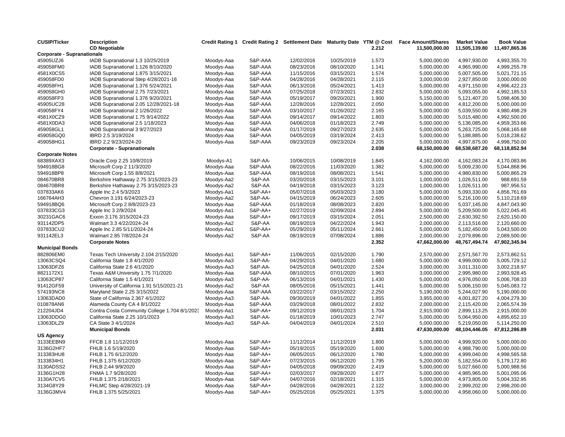| <b>CUSIP/Ticker</b>               | <b>Description</b><br><b>CD Negotiable</b>    |            |                    |            |            | 2.212 | Credit Rating 1 Credit Rating 2 Settlement Date Maturity Date YTM @ Cost Face Amount/Shares<br>11,500,000.00 | <b>Market Value</b><br>11,505,139.80 | <b>Book Value</b><br>11,497,865.36 |
|-----------------------------------|-----------------------------------------------|------------|--------------------|------------|------------|-------|--------------------------------------------------------------------------------------------------------------|--------------------------------------|------------------------------------|
| <b>Corporate - Supranationals</b> |                                               |            |                    |            |            |       |                                                                                                              |                                      |                                    |
| 45905UZJ6                         | IADB Supranational 1.3 10/25/2019             | Moodys-Aaa | S&P-AAA            | 12/02/2016 | 10/25/2019 | 1.573 | 5,000,000.00                                                                                                 | 4,997,930.00                         | 4,993,355.70                       |
| 459058FM0                         | IADB Supranational 1.126 8/10/2020            | Moodys-Aaa | S&P-AAA            | 08/23/2016 | 08/10/2020 | 1.141 | 5,000,000.00                                                                                                 | 4,965,990.00                         | 4,999,255.78                       |
| 4581X0CS5                         | IADB Supranational 1.875 3/15/2021            | Moodys-Aaa | S&P-AAA            | 11/15/2016 | 03/15/2021 | 1.574 | 5,000,000.00                                                                                                 | 5,007,505.00                         | 5,021,721.15                       |
| 459058FD0                         | IADB Supranational Step 4/28/2021-16          | Moodys-Aaa | S&P-AAA            | 04/28/2016 | 04/28/2021 | 2.115 | 3,000,000.00                                                                                                 | 2,927,850.00                         | 3,000,000.00                       |
| 459058FH1                         | IADB Supranational 1.376 5/24/2021            | Moodys-Aaa | S&P-AAA            | 06/13/2016 | 05/24/2021 | 1.413 | 5,000,000.00                                                                                                 | 4,971,150.00                         | 4,996,422.23                       |
| 459058GH0                         | IADB Supranational 2.75 7/23/2021             | Moodys-Aaa | S&P-AAA            | 07/25/2018 | 07/23/2021 | 2.832 | 5,000,000.00                                                                                                 | 5,093,055.00                         | 4,992,185.53                       |
| 459058FP3                         | IADB Supranational 1.376 9/20/2021            | Moodys-Aaa | S&P-AAA            | 05/19/2017 | 09/20/2021 | 1.900 | 5,150,000.00                                                                                                 | 5,121,407.20                         | 5,098,406.30                       |
| 45905UC28                         | IADB Supranational 2.05 12/28/2021-18         | Moodys-Aaa | S&P-AAA            | 12/28/2016 | 12/28/2021 | 2.050 | 5,000,000.00                                                                                                 | 4,812,200.00                         | 5,000,000.00                       |
| 459058FY4                         | IADB Supranational 2 1/26/2022                | Moodys-Aaa | S&P-AAA            | 03/10/2017 | 01/26/2022 | 2.165 | 5,000,000.00                                                                                                 | 5,039,550.00                         | 4,980,498.29                       |
| 4581X0CZ9                         | IADB Supranational 1.75 9/14/2022             | Moodys-Aaa | S&P-AAA            | 09/14/2017 | 09/14/2022 | 1.803 | 5,000,000.00                                                                                                 | 5,015,480.00                         | 4,992,500.00                       |
| 4581X0DA3                         | IADB Supranational 2.5 1/18/2023              | Moodys-Aaa | S&P-AAA            | 04/06/2018 | 01/18/2023 | 2.749 | 5,000,000.00                                                                                                 | 5,136,085.00                         | 4,959,353.66                       |
| 459058GL1                         | IADB Supranational 3 9/27/2023                | Moodys-Aaa | S&P-AAA            | 01/17/2019 | 09/27/2023 | 2.635 | 5,000,000.00                                                                                                 | 5,263,725.00                         | 5,068,165.68                       |
| 459058GQ0                         | IBRD 2.5 3/19/2024                            | Moodys-Aaa | S&P-AAA            | 04/05/2019 | 03/19/2024 | 2.413 | 5,000,000.00                                                                                                 | 5,188,885.00                         | 5,018,238.62                       |
| 459058HG1                         | IBRD 2.2 9/23/2024-20                         | Moodys-Aaa | S&P-AAA            | 09/23/2019 | 09/23/2024 | 2.205 | 5,000,000.00                                                                                                 | 4,997,875.00                         | 4,998,750.00                       |
|                                   | <b>Corporate - Supranationals</b>             |            |                    |            |            | 2.038 | 68,150,000.00                                                                                                | 68,538,687.20                        | 68,118,852.94                      |
| <b>Corporate Notes</b>            |                                               |            |                    |            |            |       |                                                                                                              |                                      |                                    |
| 68389XAX3                         | Oracle Corp 2.25 10/8/2019                    | Moodys-A1  | S&P-AA-            | 10/06/2015 | 10/08/2019 | 1.845 | 4,162,000.00                                                                                                 | 4,162,083.24                         | 4,170,083.86                       |
| 594918BG8                         | Microsoft Corp 2 11/3/2020                    | Moodys-Aaa | S&P-AAA            | 08/22/2016 | 11/03/2020 | 1.382 | 5,000,000.00                                                                                                 | 5,009,230.00                         | 5,044,868.96                       |
| 594918BP8                         | Microsoft Corp 1.55 8/8/2021                  | Moodys-Aaa | S&P-AAA            | 08/19/2016 | 08/08/2021 | 1.541 | 5,000,000.00                                                                                                 | 4,980,830.00                         | 5,000,865.29                       |
| 084670BR8                         | Berkshire Hathaway 2.75 3/15/2023-23          | Moodys-Aa2 | S&P-AA             | 03/20/2018 | 03/15/2023 | 3.101 | 1,000,000.00                                                                                                 | 1,026,511.00                         | 988,691.59                         |
| 084670BR8                         | Berkshire Hathaway 2.75 3/15/2023-23          | Moodys-Aa2 | S&P-AA             | 04/19/2018 | 03/15/2023 | 3.123 | 1,000,000.00                                                                                                 | 1,026,511.00                         | 987,956.51                         |
| 037833AK6                         | Apple Inc 2.4 5/3/2023                        | Moodys-Aa1 | S&P-AA+            | 05/07/2018 | 05/03/2023 | 3.180 | 5,000,000.00                                                                                                 | 5,093,330.00                         | 4,856,761.69                       |
| 166764AH3                         | Chevron 3.191 6/24/2023-23                    | Moodys-Aa2 | S&P-AA-            | 04/15/2019 | 06/24/2023 | 2.605 | 5,000,000.00                                                                                                 | 5,216,100.00                         | 5,110,218.69                       |
| 594918BQ6                         | Microsoft Corp 2 8/8/2023-23                  | Moodys-Aaa | S&P-AAA            | 01/18/2019 | 08/08/2023 | 2.820 | 5,000,000.00                                                                                                 | 5,037,145.00                         | 4,847,043.90                       |
| 037833CG3                         | Apple Inc 3 2/9/2024                          | Moodys-Aa1 | S&P-AA+            | 02/27/2019 | 02/09/2024 | 2.894 | 5,000,000.00                                                                                                 | 5,209,500.00                         | 5,022,045.45                       |
| 30231GAC6                         | Exxon 3.176 3/15/2024-23                      | Moodys-Aaa | S&P-AA+            | 09/17/2019 | 03/15/2024 | 2.051 | 2,500,000.00                                                                                                 | 2,630,392.50                         | 2,620,150.00                       |
| 931142DP5                         | Walmart 3.3 4/22/2024-24                      | Moodys-Aa2 | S&P-AA             | 08/19/2019 | 04/22/2024 | 1.943 | 2,000,000.00                                                                                                 | 2,113,516.00                         | 2,120,660.00                       |
| 037833CU2                         | Apple Inc 2.85 5/11/2024-24                   | Moodys-Aa1 | S&P-AA+            | 05/29/2019 | 05/11/2024 | 2.661 | 5,000,000.00                                                                                                 | 5,182,450.00                         | 5,043,500.00                       |
| 931142EL3                         | Walmart 2.85 7/8/2024-24                      | Moodys-Aa2 | S&P-AA             | 08/19/2019 | 07/08/2024 | 1.886 | 2,000,000.00                                                                                                 | 2,079,896.00                         | 2,089,500.00                       |
|                                   | <b>Corporate Notes</b>                        |            |                    |            |            | 2.352 | 47,662,000.00                                                                                                | 48,767,494.74                        | 47,902,345.94                      |
| <b>Municipal Bonds</b>            |                                               |            |                    |            |            |       |                                                                                                              |                                      |                                    |
| 882806EM0                         | Texas Tech University 2.104 2/15/2020         | Moodys-Aa1 | S&P-AA+            | 11/06/2015 | 02/15/2020 | 1.790 | 2,570,000.00                                                                                                 | 2,571,567.70                         | 2,573,862.51                       |
| 13063CSQ4                         | California State 1.8 4/1/2020                 | Moodys-Aa3 | S&P-AA-            | 04/29/2015 | 04/01/2020 | 1.680 | 5,000,000.00                                                                                                 | 4,999,000.00                         | 5,005,729.12                       |
| 13063DFZ6                         | California State 2.6 4/1/2020                 | Moodys-Aa3 | <b>S&amp;P-AA-</b> | 04/25/2018 | 04/01/2020 | 2.524 | 3,000,000.00                                                                                                 | 3,011,310.00                         | 3,002,218.97                       |
| 8821172X1                         | Texas A&M University 1.75 7/1/2020            | Moodys-Aaa | S&P-AAA            | 08/10/2015 | 07/01/2020 | 1.963 | 3,000,000.00                                                                                                 | 2,995,980.00                         | 2,993,928.45                       |
| 13063CP87                         | California State 1.5 4/1/2021                 | Moodys-Aa3 | S&P-AA-            | 06/13/2016 | 04/01/2021 | 1.430 | 5,000,000.00                                                                                                 | 4,976,050.00                         | 5,006,708.33                       |
| 91412GF59                         | University of California 1.91 5/15/2021-21    | Moodys-Aa2 | S&P-AA             | 08/05/2016 | 05/15/2021 | 1.441 | 5,000,000.00                                                                                                 | 5,006,150.00                         | 5,045,083.72                       |
| 574193NC8                         | Maryland State 2.25 3/15/2022                 | Moodys-Aaa | S&P-AAA            | 03/22/2017 | 03/15/2022 | 2.250 | 5,190,000.00                                                                                                 | 5,244,027.90                         | 5,190,000.00                       |
| 13063DAD0                         | State of California 2.367 4/1/2022            | Moodys-Aa3 | S&P-AA-            | 09/30/2019 | 04/01/2022 | 1.855 | 3,955,000.00                                                                                                 | 4,001,827.20                         | 4,004,279.30                       |
| 010878AN6                         | Alameda County CA 4 8/1/2022                  | Moodys-Aaa | S&P-AAA            | 03/29/2018 | 08/01/2022 | 2.832 | 2,000,000.00                                                                                                 | 2,115,420.00                         | 2,065,574.39                       |
| 212204JD4                         | Contra Costa Community College 1.704 8/1/2023 | Moodys-Aa1 | S&P-AA+            | 09/12/2019 | 08/01/2023 | 1.704 | 2,915,000.00                                                                                                 | 2,899,113.25                         | 2,915,000.00                       |
| 13063DDG0                         | California State 2.25 10/1/2023               | Moodys-Aa3 | S&P-AA-            | 01/18/2019 | 10/01/2023 | 2.747 | 5,000,000.00                                                                                                 | 5,064,950.00                         | 4,895,652.10                       |
| 13063DLZ9                         | CA State 3 4/1/2024                           | Moodys-Aa3 | <b>S&amp;P-AA-</b> | 04/04/2019 | 04/01/2024 | 2.510 | 5,000,000.00                                                                                                 | 5,219,050.00                         | 5,114,250.00                       |
|                                   | <b>Municipal Bonds</b>                        |            |                    |            |            | 2.031 | 47,630,000.00                                                                                                | 48,104,446.05                        | 47,812,286.89                      |
| US Agency                         |                                               |            |                    |            |            |       |                                                                                                              |                                      |                                    |
| 3133EEBN9                         | FFCB 1.8 11/12/2019                           | Moodys-Aaa | S&P-AA+            | 11/12/2014 | 11/12/2019 | 1.800 | 5,000,000.00                                                                                                 | 4,999,920.00                         | 5,000,000.00                       |
| 3136G2HF7                         | FHLB 1.6 5/19/2020                            | Moodys-Aaa | S&P-AA+            | 05/19/2015 | 05/19/2020 | 1.600 | 5,000,000.00                                                                                                 | 4,988,790.00                         | 5,000,000.00                       |
| 313383HU8                         | FHLB 1.75 6/12/2020                           | Moodys-Aaa | S&P-AA+            | 06/05/2015 | 06/12/2020 | 1.780 | 5,000,000.00                                                                                                 | 4,999,040.00                         | 4,998,565.58                       |
| 3133834H1                         | FHLB 1.375 6/12/2020                          | Moodys-Aaa | S&P-AA+            | 07/23/2015 | 06/12/2020 | 1.795 | 5,200,000.00                                                                                                 | 5,182,554.00                         | 5,179,172.80                       |
| 3130ADSS2                         | FHLB 2.44 9/9/2020                            | Moodys-Aaa | S&P-AA+            | 04/05/2018 | 09/09/2020 | 2.419 | 5,000,000.00                                                                                                 | 5,027,660.00                         | 5,000,988.56                       |
| 3136G1H28                         | FNMA 1.7 9/28/2020                            | Moodys-Aaa | S&P-AA+            | 02/03/2017 | 09/28/2020 | 1.677 | 5,000,000.00                                                                                                 | 4,985,965.00                         | 5,001,095.06                       |
| 3130A7CV5                         | FHLB 1.375 2/18/2021                          | Moodys-Aaa | S&P-AA+            | 04/07/2016 | 02/18/2021 | 1.315 | 5,000,000.00                                                                                                 | 4,973,805.00                         | 5,004,332.95                       |
| 3134G8Y29                         | FHLMC Step 4/28/2021-19                       | Moodys-Aaa | S&P-AA+            | 04/28/2016 | 04/28/2021 | 2.122 | 3,000,000.00                                                                                                 | 2,999,202.00                         | 2,998,200.00                       |
| 3136G3MV4                         | FHLB 1.375 5/25/2021                          | Moodys-Aaa | S&P-AA+            | 05/25/2016 | 05/25/2021 | 1.375 | 5,000,000.00                                                                                                 | 4,958,060.00                         | 5,000,000.00                       |